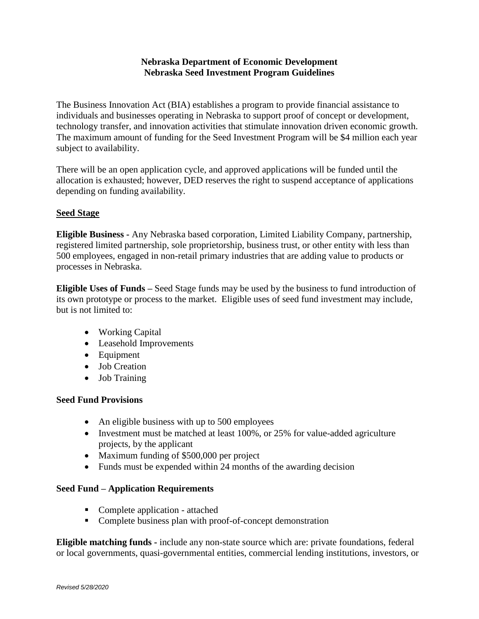# **Nebraska Department of Economic Development Nebraska Seed Investment Program Guidelines**

The Business Innovation Act (BIA) establishes a program to provide financial assistance to individuals and businesses operating in Nebraska to support proof of concept or development, technology transfer, and innovation activities that stimulate innovation driven economic growth. The maximum amount of funding for the Seed Investment Program will be \$4 million each year subject to availability.

There will be an open application cycle, and approved applications will be funded until the allocation is exhausted; however, DED reserves the right to suspend acceptance of applications depending on funding availability.

### **Seed Stage**

**Eligible Business -** Any Nebraska based corporation, Limited Liability Company, partnership, registered limited partnership, sole proprietorship, business trust, or other entity with less than 500 employees, engaged in non-retail primary industries that are adding value to products or processes in Nebraska.

**Eligible Uses of Funds –** Seed Stage funds may be used by the business to fund introduction of its own prototype or process to the market. Eligible uses of seed fund investment may include, but is not limited to:

- Working Capital
- Leasehold Improvements
- Equipment
- Job Creation
- Job Training

#### **Seed Fund Provisions**

- An eligible business with up to 500 employees
- Investment must be matched at least 100%, or 25% for value-added agriculture projects, by the applicant
- Maximum funding of \$500,000 per project
- Funds must be expended within 24 months of the awarding decision

### **Seed Fund – Application Requirements**

- Complete application attached
- Complete business plan with proof-of-concept demonstration

**Eligible matching funds -** include any non-state source which are: private foundations, federal or local governments, quasi-governmental entities, commercial lending institutions, investors, or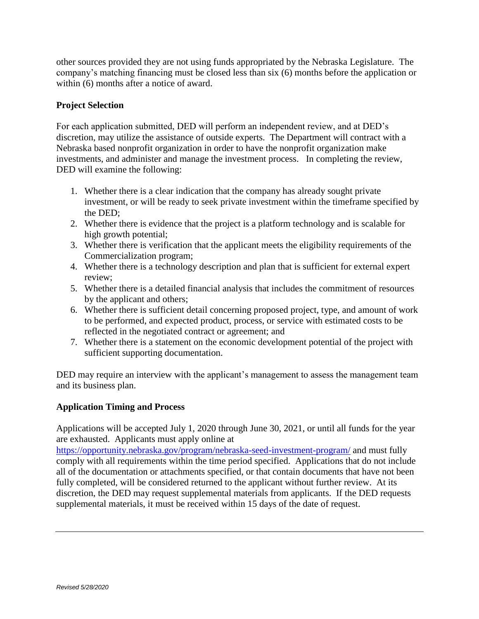other sources provided they are not using funds appropriated by the Nebraska Legislature. The company's matching financing must be closed less than six (6) months before the application or within (6) months after a notice of award.

## **Project Selection**

For each application submitted, DED will perform an independent review, and at DED's discretion, may utilize the assistance of outside experts. The Department will contract with a Nebraska based nonprofit organization in order to have the nonprofit organization make investments, and administer and manage the investment process. In completing the review, DED will examine the following:

- 1. Whether there is a clear indication that the company has already sought private investment, or will be ready to seek private investment within the timeframe specified by the DED;
- 2. Whether there is evidence that the project is a platform technology and is scalable for high growth potential;
- 3. Whether there is verification that the applicant meets the eligibility requirements of the Commercialization program;
- 4. Whether there is a technology description and plan that is sufficient for external expert review;
- 5. Whether there is a detailed financial analysis that includes the commitment of resources by the applicant and others;
- 6. Whether there is sufficient detail concerning proposed project, type, and amount of work to be performed, and expected product, process, or service with estimated costs to be reflected in the negotiated contract or agreement; and
- 7. Whether there is a statement on the economic development potential of the project with sufficient supporting documentation.

DED may require an interview with the applicant's management to assess the management team and its business plan.

### **Application Timing and Process**

Applications will be accepted July 1, 2020 through June 30, 2021, or until all funds for the year are exhausted. Applicants must apply online at

<https://opportunity.nebraska.gov/program/nebraska-seed-investment-program/> and must fully comply with all requirements within the time period specified. Applications that do not include all of the documentation or attachments specified, or that contain documents that have not been fully completed, will be considered returned to the applicant without further review. At its discretion, the DED may request supplemental materials from applicants. If the DED requests supplemental materials, it must be received within 15 days of the date of request.